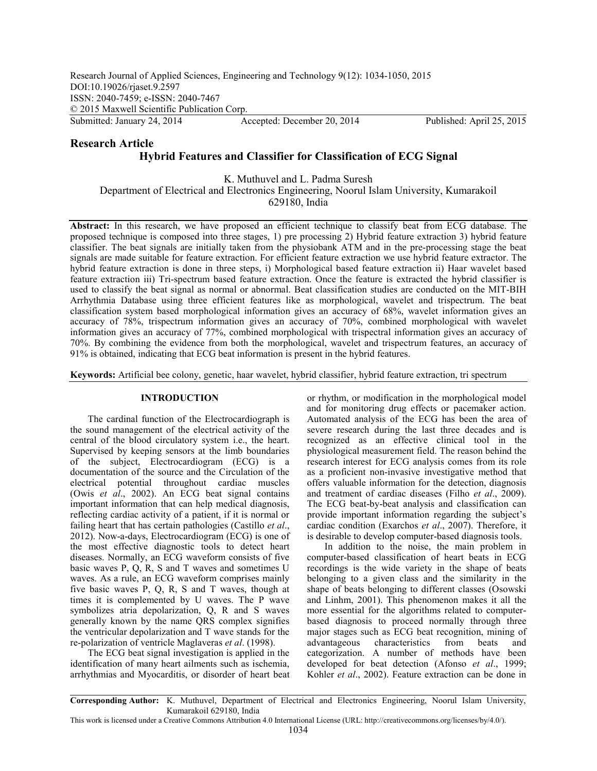# **Research Article Hybrid Features and Classifier for Classification of ECG Signal**

K. Muthuvel and L. Padma Suresh Department of Electrical and Electronics Engineering, Noorul Islam University, Kumarakoil 629180, India

**Abstract:** In this research, we have proposed an efficient technique to classify beat from ECG database. The proposed technique is composed into three stages, 1) pre processing 2) Hybrid feature extraction 3) hybrid feature classifier. The beat signals are initially taken from the physiobank ATM and in the pre-processing stage the beat signals are made suitable for feature extraction. For efficient feature extraction we use hybrid feature extractor. The hybrid feature extraction is done in three steps, i) Morphological based feature extraction ii) Haar wavelet based feature extraction iii) Tri-spectrum based feature extraction. Once the feature is extracted the hybrid classifier is used to classify the beat signal as normal or abnormal. Beat classification studies are conducted on the MIT-BIH Arrhythmia Database using three efficient features like as morphological, wavelet and trispectrum. The beat classification system based morphological information gives an accuracy of 68%, wavelet information gives an accuracy of 78%, trispectrum information gives an accuracy of 70%, combined morphological with wavelet information gives an accuracy of 77%, combined morphological with trispectral information gives an accuracy of 70%. By combining the evidence from both the morphological, wavelet and trispectrum features, an accuracy of 91% is obtained, indicating that ECG beat information is present in the hybrid features.

**Keywords:** Artificial bee colony, genetic, haar wavelet, hybrid classifier, hybrid feature extraction, tri spectrum

## **INTRODUCTION**

The cardinal function of the Electrocardiograph is the sound management of the electrical activity of the central of the blood circulatory system i.e., the heart. Supervised by keeping sensors at the limb boundaries of the subject, Electrocardiogram (ECG) is a documentation of the source and the Circulation of the electrical potential throughout cardiac muscles (Owis *et al*., 2002). An ECG beat signal contains important information that can help medical diagnosis, reflecting cardiac activity of a patient, if it is normal or failing heart that has certain pathologies (Castillo *et al*., 2012). Now-a-days, Electrocardiogram (ECG) is one of the most effective diagnostic tools to detect heart diseases. Normally, an ECG waveform consists of five basic waves P, Q, R, S and T waves and sometimes U waves. As a rule, an ECG waveform comprises mainly five basic waves P, Q, R, S and T waves, though at times it is complemented by U waves. The P wave symbolizes atria depolarization, Q, R and S waves generally known by the name QRS complex signifies the ventricular depolarization and T wave stands for the re-polarization of ventricle Maglaveras *et al*. (1998).

The ECG beat signal investigation is applied in the identification of many heart ailments such as ischemia, arrhythmias and Myocarditis, or disorder of heart beat

or rhythm, or modification in the morphological model and for monitoring drug effects or pacemaker action. Automated analysis of the ECG has been the area of severe research during the last three decades and is recognized as an effective clinical tool in the physiological measurement field. The reason behind the research interest for ECG analysis comes from its role as a proficient non-invasive investigative method that offers valuable information for the detection, diagnosis and treatment of cardiac diseases (Filho *et al*., 2009). The ECG beat-by-beat analysis and classification can provide important information regarding the subject's cardiac condition (Exarchos *et al*., 2007). Therefore, it is desirable to develop computer-based diagnosis tools.

In addition to the noise, the main problem in computer-based classification of heart beats in ECG recordings is the wide variety in the shape of beats belonging to a given class and the similarity in the shape of beats belonging to different classes (Osowski and Linhm, 2001). This phenomenon makes it all the more essential for the algorithms related to computerbased diagnosis to proceed normally through three major stages such as ECG beat recognition, mining of advantageous characteristics from beats and categorization. A number of methods have been developed for beat detection (Afonso *et al*., 1999; Kohler *et al*., 2002). Feature extraction can be done in

**Corresponding Author:** K. Muthuvel, Department of Electrical and Electronics Engineering, Noorul Islam University, Kumarakoil 629180, India

This work is licensed under a Creative Commons Attribution 4.0 International License (URL: http://creativecommons.org/licenses/by/4.0/).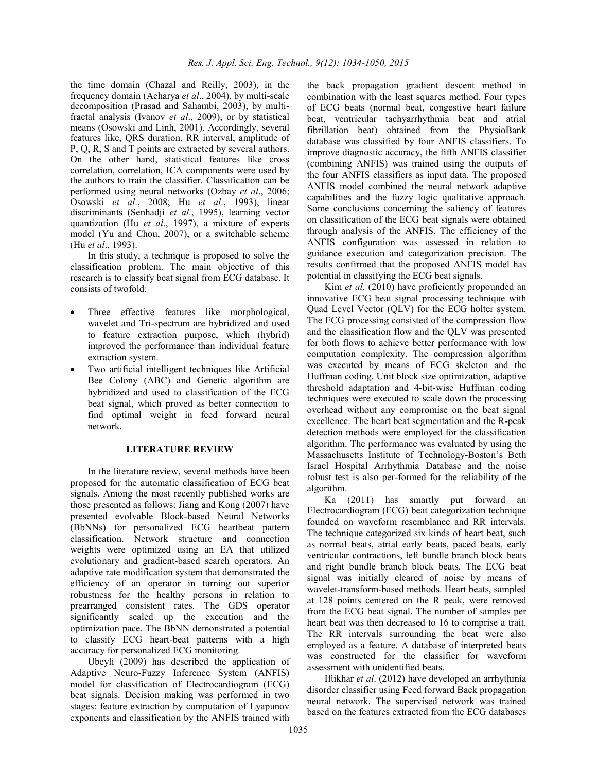the time domain (Chazal and Reilly, 2003), in the frequency domain (Acharya *et al*., 2004), by multi-scale decomposition (Prasad and Sahambi, 2003), by multifractal analysis (Ivanov *et al*., 2009), or by statistical means (Osowski and Linh, 2001). Accordingly, several features like, QRS duration, RR interval, amplitude of P, Q, R, S and T points are extracted by several authors. On the other hand, statistical features like cross correlation, correlation, ICA components were used by the authors to train the classifier. Classification can be performed using neural networks (Ozbay *et al*., 2006; Osowski *et al*., 2008; Hu *et al*., 1993), linear discriminants (Senhadji *et al*., 1995), learning vector quantization (Hu *et al*., 1997), a mixture of experts model (Yu and Chou, 2007), or a switchable scheme (Hu *et al*., 1993).

In this study, a technique is proposed to solve the classification problem. The main objective of this research is to classify beat signal from ECG database. It consists of twofold:

- Three effective features like morphological, wavelet and Tri-spectrum are hybridized and used to feature extraction purpose, which (hybrid) improved the performance than individual feature extraction system.
- Two artificial intelligent techniques like Artificial Bee Colony (ABC) and Genetic algorithm are hybridized and used to classification of the ECG beat signal, which proved as better connection to find optimal weight in feed forward neural network.

## **LITERATURE REVIEW**

In the literature review, several methods have been proposed for the automatic classification of ECG beat signals. Among the most recently published works are those presented as follows: Jiang and Kong (2007) have presented evolvable Block-based Neural Networks (BbNNs) for personalized ECG heartbeat pattern classification. Network structure and connection weights were optimized using an EA that utilized evolutionary and gradient-based search operators. An adaptive rate modification system that demonstrated the efficiency of an operator in turning out superior robustness for the healthy persons in relation to prearranged consistent rates. The GDS operator significantly scaled up the execution and the optimization pace. The BbNN demonstrated a potential to classify ECG heart-beat patterns with a high accuracy for personalized ECG monitoring.

Ubeyli (2009) has described the application of Adaptive Neuro-Fuzzy Inference System (ANFIS) model for classification of Electrocardiogram (ECG) beat signals. Decision making was performed in two stages: feature extraction by computation of Lyapunov exponents and classification by the ANFIS trained with

the back propagation gradient descent method in combination with the least squares method. Four types of ECG beats (normal beat, congestive heart failure beat, ventricular tachyarrhythmia beat and atrial fibrillation beat) obtained from the PhysioBank database was classified by four ANFIS classifiers. To improve diagnostic accuracy, the fifth ANFIS classifier (combining ANFIS) was trained using the outputs of the four ANFIS classifiers as input data. The proposed ANFIS model combined the neural network adaptive capabilities and the fuzzy logic qualitative approach. Some conclusions concerning the saliency of features on classification of the ECG beat signals were obtained through analysis of the ANFIS. The efficiency of the ANFIS configuration was assessed in relation to guidance execution and categorization precision. The results confirmed that the proposed ANFIS model has potential in classifying the ECG beat signals.

Kim *et al*. (2010) have proficiently propounded an innovative ECG beat signal processing technique with Quad Level Vector (QLV) for the ECG holter system. The ECG processing consisted of the compression flow and the classification flow and the QLV was presented for both flows to achieve better performance with low computation complexity. The compression algorithm was executed by means of ECG skeleton and the Huffman coding. Unit block size optimization, adaptive threshold adaptation and 4-bit-wise Huffman coding techniques were executed to scale down the processing overhead without any compromise on the beat signal excellence. The heart beat segmentation and the R-peak detection methods were employed for the classification algorithm. The performance was evaluated by using the Massachusetts Institute of Technology-Boston's Beth Israel Hospital Arrhythmia Database and the noise robust test is also per-formed for the reliability of the algorithm.

Ka (2011) has smartly put forward an Electrocardiogram (ECG) beat categorization technique founded on waveform resemblance and RR intervals. The technique categorized six kinds of heart beat, such as normal beats, atrial early beats, paced beats, early ventricular contractions, left bundle branch block beats and right bundle branch block beats. The ECG beat signal was initially cleared of noise by means of wavelet-transform-based methods. Heart beats, sampled at 128 points centered on the R peak, were removed from the ECG beat signal. The number of samples per heart beat was then decreased to 16 to comprise a trait. The RR intervals surrounding the beat were also employed as a feature. A database of interpreted beats was constructed for the classifier for waveform assessment with unidentified beats.

Iftikhar *et al*. (2012) have developed an arrhythmia disorder classifier using Feed forward Back propagation neural network. The supervised network was trained based on the features extracted from the ECG databases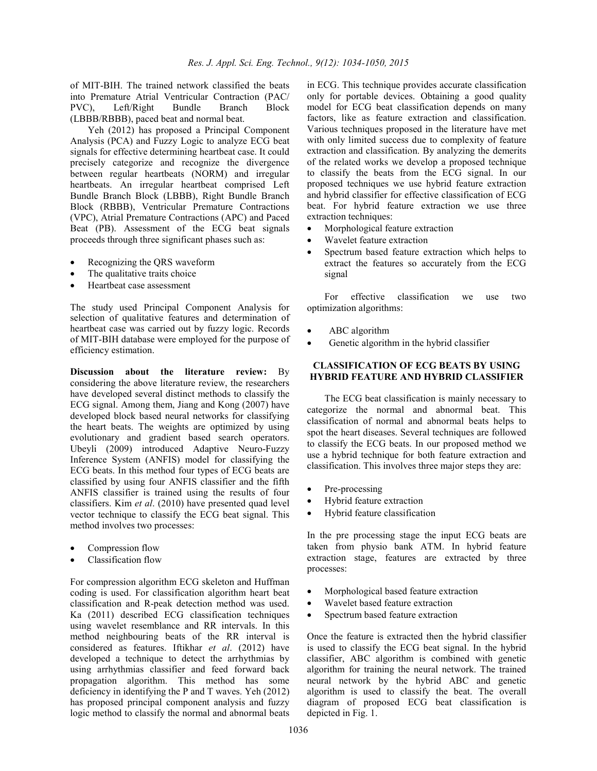of MIT-BIH. The trained network classified the beats into Premature Atrial Ventricular Contraction (PAC/ PVC), Left/Right Bundle Branch Block (LBBB/RBBB), paced beat and normal beat.

Yeh (2012) has proposed a Principal Component Analysis (PCA) and Fuzzy Logic to analyze ECG beat signals for effective determining heartbeat case. It could precisely categorize and recognize the divergence between regular heartbeats (NORM) and irregular heartbeats. An irregular heartbeat comprised Left Bundle Branch Block (LBBB), Right Bundle Branch Block (RBBB), Ventricular Premature Contractions (VPC), Atrial Premature Contractions (APC) and Paced Beat (PB). Assessment of the ECG beat signals proceeds through three significant phases such as:

- Recognizing the QRS waveform
- The qualitative traits choice
- Heartbeat case assessment

The study used Principal Component Analysis for selection of qualitative features and determination of heartbeat case was carried out by fuzzy logic. Records of MIT-BIH database were employed for the purpose of efficiency estimation.

**Discussion about the literature review:** By considering the above literature review, the researchers have developed several distinct methods to classify the ECG signal. Among them, Jiang and Kong (2007) have developed block based neural networks for classifying the heart beats. The weights are optimized by using evolutionary and gradient based search operators. Ubeyli (2009) introduced Adaptive Neuro-Fuzzy Inference System (ANFIS) model for classifying the ECG beats. In this method four types of ECG beats are classified by using four ANFIS classifier and the fifth ANFIS classifier is trained using the results of four classifiers. Kim *et al*. (2010) have presented quad level vector technique to classify the ECG beat signal. This method involves two processes:

- Compression flow
- Classification flow

For compression algorithm ECG skeleton and Huffman coding is used. For classification algorithm heart beat classification and R-peak detection method was used. Ka (2011) described ECG classification techniques using wavelet resemblance and RR intervals. In this method neighbouring beats of the RR interval is considered as features. Iftikhar *et al*. (2012) have developed a technique to detect the arrhythmias by using arrhythmias classifier and feed forward back propagation algorithm. This method has some deficiency in identifying the P and T waves. Yeh (2012) has proposed principal component analysis and fuzzy logic method to classify the normal and abnormal beats

in ECG. This technique provides accurate classification only for portable devices. Obtaining a good quality model for ECG beat classification depends on many factors, like as feature extraction and classification. Various techniques proposed in the literature have met with only limited success due to complexity of feature extraction and classification. By analyzing the demerits of the related works we develop a proposed technique to classify the beats from the ECG signal. In our proposed techniques we use hybrid feature extraction and hybrid classifier for effective classification of ECG beat. For hybrid feature extraction we use three extraction techniques:

- Morphological feature extraction
- Wavelet feature extraction
- Spectrum based feature extraction which helps to extract the features so accurately from the ECG signal

For effective classification we use two optimization algorithms:

- ABC algorithm
- Genetic algorithm in the hybrid classifier

## **CLASSIFICATION OF ECG BEATS BY USING HYBRID FEATURE AND HYBRID CLASSIFIER**

The ECG beat classification is mainly necessary to categorize the normal and abnormal beat. This classification of normal and abnormal beats helps to spot the heart diseases. Several techniques are followed to classify the ECG beats. In our proposed method we use a hybrid technique for both feature extraction and classification. This involves three major steps they are:

- Pre-processing
- Hybrid feature extraction
- Hybrid feature classification

In the pre processing stage the input ECG beats are taken from physio bank ATM. In hybrid feature extraction stage, features are extracted by three processes:

- Morphological based feature extraction
- Wavelet based feature extraction
- Spectrum based feature extraction

Once the feature is extracted then the hybrid classifier is used to classify the ECG beat signal. In the hybrid classifier, ABC algorithm is combined with genetic algorithm for training the neural network. The trained neural network by the hybrid ABC and genetic algorithm is used to classify the beat. The overall diagram of proposed ECG beat classification is depicted in Fig. 1.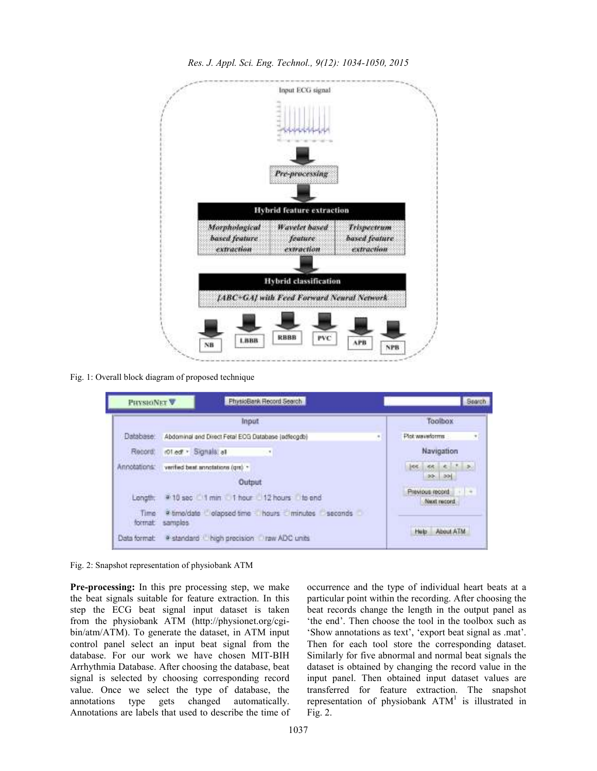

*Res. J. Appl. Sci. Eng. Technol., 9(12): 1034-1050, 2015* 

Fig. 1: Overall block diagram of proposed technique

| PHYSIONET <sup>V</sup> | PhysioBank Record Search                                                                                     | Search                                       |  |
|------------------------|--------------------------------------------------------------------------------------------------------------|----------------------------------------------|--|
| Input                  |                                                                                                              | Toolbox                                      |  |
| Database:              | Abdominal and Direct Fetal EOG Database (adfecgdb)<br>٠                                                      | Plot waveforms<br>$\bullet$                  |  |
| Record:                | rot ed: - Signals all                                                                                        | Navigation                                   |  |
| <b>MODARES</b>         | verified beat annotations (gm) +<br><b>WELL-WITH SALES AND RESIDENTS IN THE PROPERTY OF A REAL PROPERTY.</b> | lee.                                         |  |
|                        | Output                                                                                                       | $99 - 29$                                    |  |
| Longth:                | #10 sec 1 min 1 hour 12 hours to end                                                                         | <u> 19</u><br>Previous record<br>Naut record |  |
| Time:<br>format        | a timoldate dapsed time hours minutes seconds<br>samples                                                     | About ATM<br>Help                            |  |
| Data format:           | # standard L high precision Draw ADC units                                                                   |                                              |  |

Fig. 2: Snapshot representation of physiobank ATM

**Pre-processing:** In this pre processing step, we make the beat signals suitable for feature extraction. In this step the ECG beat signal input dataset is taken from the physiobank ATM (http://physionet.org/cgibin/atm/ATM). To generate the dataset, in ATM input control panel select an input beat signal from the database. For our work we have chosen MIT-BIH Arrhythmia Database. After choosing the database, beat signal is selected by choosing corresponding record value. Once we select the type of database, the annotations type gets changed automatically. Annotations are labels that used to describe the time of occurrence and the type of individual heart beats at a particular point within the recording. After choosing the beat records change the length in the output panel as 'the end'. Then choose the tool in the toolbox such as 'Show annotations as text', 'export beat signal as .mat'. Then for each tool store the corresponding dataset. Similarly for five abnormal and normal beat signals the dataset is obtained by changing the record value in the input panel. Then obtained input dataset values are transferred for feature extraction. The snapshot representation of physiobank  $ATM<sup>1</sup>$  is illustrated in Fig. 2.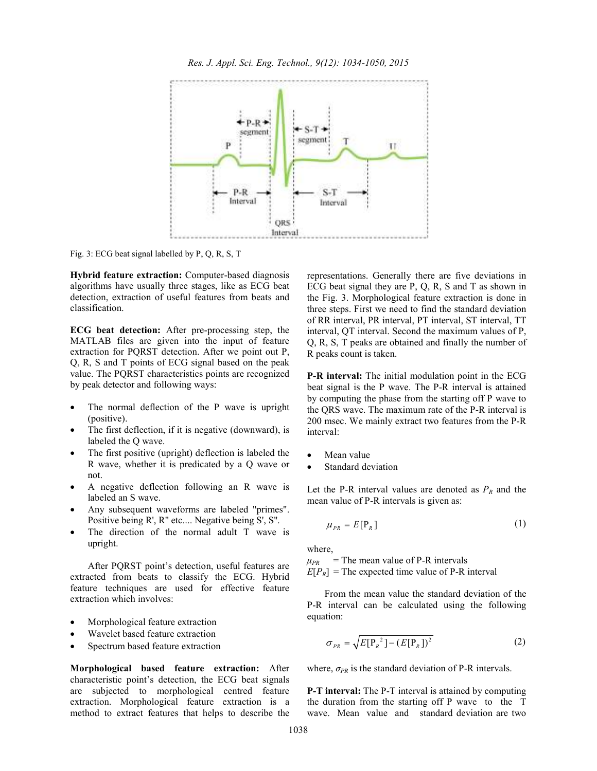

Fig. 3: ECG beat signal labelled by P, Q, R, S, T

**Hybrid feature extraction:** Computer-based diagnosis algorithms have usually three stages, like as ECG beat detection, extraction of useful features from beats and classification.

**ECG beat detection:** After pre-processing step, the MATLAB files are given into the input of feature extraction for PQRST detection. After we point out P, Q, R, S and T points of ECG signal based on the peak value. The PQRST characteristics points are recognized by peak detector and following ways:

- The normal deflection of the P wave is upright (positive).
- The first deflection, if it is negative (downward), is labeled the Q wave.
- The first positive (upright) deflection is labeled the R wave, whether it is predicated by a Q wave or not.
- A negative deflection following an R wave is labeled an S wave.
- Any subsequent waveforms are labeled "primes". Positive being R', R'' etc.... Negative being S', S''.
- The direction of the normal adult T wave is upright.

After PQRST point's detection, useful features are extracted from beats to classify the ECG. Hybrid feature techniques are used for effective feature extraction which involves:

- Morphological feature extraction
- Wavelet based feature extraction
- Spectrum based feature extraction

**Morphological based feature extraction:** After characteristic point's detection, the ECG beat signals are subjected to morphological centred feature extraction. Morphological feature extraction is a method to extract features that helps to describe the representations. Generally there are five deviations in ECG beat signal they are P, Q, R, S and T as shown in the Fig. 3. Morphological feature extraction is done in three steps. First we need to find the standard deviation of RR interval, PR interval, PT interval, ST interval, TT interval, QT interval. Second the maximum values of P, Q, R, S, T peaks are obtained and finally the number of R peaks count is taken.

**P-R interval:** The initial modulation point in the ECG beat signal is the P wave. The P-R interval is attained by computing the phase from the starting off P wave to the QRS wave. The maximum rate of the P-R interval is 200 msec. We mainly extract two features from the P-R interval:

- Mean value
- Standard deviation

Let the P-R interval values are denoted as  $P_R$  and the mean value of P-R intervals is given as:

$$
\mu_{PR} = E[\mathbf{P}_R] \tag{1}
$$

where,

 $\mu_{PR}$  = The mean value of P-R intervals  $E[P_R]$  = The expected time value of P-R interval

From the mean value the standard deviation of the P-R interval can be calculated using the following equation:

$$
\sigma_{PR} = \sqrt{E[\mathbf{P}_R^2] - (E[\mathbf{P}_R])^2}
$$
 (2)

where,  $\sigma_{PR}$  is the standard deviation of P-R intervals.

**P-T interval:** The P-T interval is attained by computing the duration from the starting off P wave to the T wave. Mean value and standard deviation are two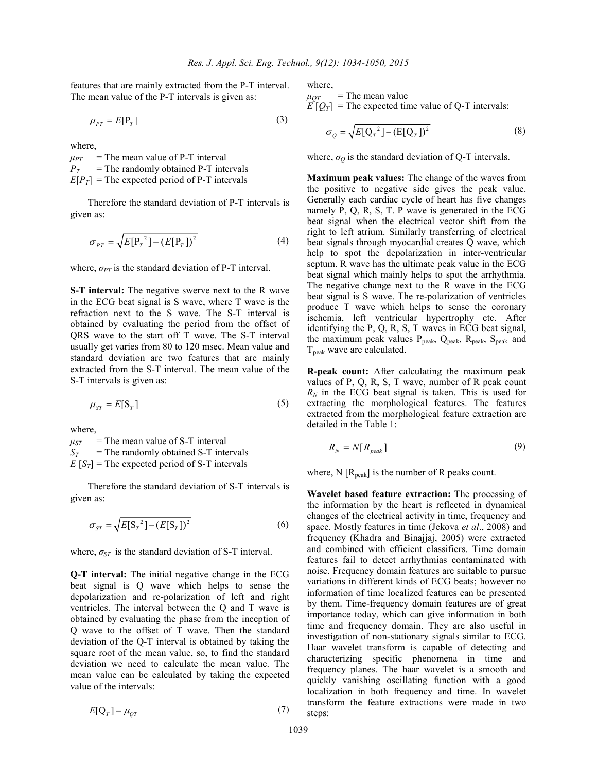features that are mainly extracted from the P-T interval. The mean value of the P-T intervals is given as:

$$
\mu_{PT} = E[\mathbf{P}_T] \tag{3}
$$

where,

 $\mu_{PT}$  = The mean value of P-T interval  $P_T$  = The randomly obtained P-T intervals  $E[P_T]$  = The expected period of P-T intervals

Therefore the standard deviation of P-T intervals is given as:

$$
\sigma_{PT} = \sqrt{E[P_T^2] - (E[P_T])^2}
$$
 (4)

where,  $\sigma_{PT}$  is the standard deviation of P-T interval.

**S-T interval:** The negative swerve next to the R wave in the ECG beat signal is S wave, where T wave is the refraction next to the S wave. The S-T interval is obtained by evaluating the period from the offset of QRS wave to the start off T wave. The S-T interval usually get varies from 80 to 120 msec. Mean value and standard deviation are two features that are mainly extracted from the S-T interval. The mean value of the S-T intervals is given as:

$$
\mu_{ST} = E[S_T] \tag{5}
$$

where,

 $\mu_{ST}$  = The mean value of S-T interval  $S_T$  = The randomly obtained S-T intervals  $E[S_T]$  = The expected period of S-T intervals

Therefore the standard deviation of S-T intervals is given as:

$$
\sigma_{ST} = \sqrt{E[S_T}^2] - (E[S_T])^2}
$$
 (6)

where,  $\sigma_{ST}$  is the standard deviation of S-T interval.

**Q-T interval:** The initial negative change in the ECG beat signal is Q wave which helps to sense the depolarization and re-polarization of left and right ventricles. The interval between the Q and T wave is obtained by evaluating the phase from the inception of Q wave to the offset of T wave. Then the standard deviation of the Q-T interval is obtained by taking the square root of the mean value, so, to find the standard deviation we need to calculate the mean value. The mean value can be calculated by taking the expected value of the intervals:

$$
E[\mathbf{Q}_T] = \mu_{QT} \tag{7}
$$

where,

 $\mu_{OT}$  = The mean value  $E[\mathcal{Q}_T]$  = The expected time value of Q-T intervals:

$$
\sigma_Q = \sqrt{E[\mathbf{Q}_T^2] - (E[\mathbf{Q}_T])^2}
$$
\n(8)

where,  $\sigma_Q$  is the standard deviation of Q-T intervals.

**Maximum peak values:** The change of the waves from the positive to negative side gives the peak value. Generally each cardiac cycle of heart has five changes namely P, Q, R, S, T. P wave is generated in the ECG beat signal when the electrical vector shift from the right to left atrium. Similarly transferring of electrical beat signals through myocardial creates Q wave, which help to spot the depolarization in inter-ventricular septum. R wave has the ultimate peak value in the ECG beat signal which mainly helps to spot the arrhythmia. The negative change next to the R wave in the ECG beat signal is S wave. The re-polarization of ventricles produce T wave which helps to sense the coronary ischemia, left ventricular hypertrophy etc. After identifying the P, Q, R, S, T waves in ECG beat signal, the maximum peak values  $P_{peak}$ ,  $Q_{peak}$ ,  $R_{peak}$ ,  $S_{peak}$  and  $T_{\text{peak}}$  wave are calculated.

**R-peak count:** After calculating the maximum peak values of P, Q, R, S, T wave, number of R peak count  $R_N$  in the ECG beat signal is taken. This is used for extracting the morphological features. The features extracted from the morphological feature extraction are detailed in the Table 1:

$$
R_N = N[R_{peak}] \tag{9}
$$

where,  $N$  [ $R_{peak}$ ] is the number of R peaks count.

**Wavelet based feature extraction:** The processing of the information by the heart is reflected in dynamical changes of the electrical activity in time, frequency and space. Mostly features in time (Jekova *et al*., 2008) and frequency (Khadra and Binajjaj, 2005) were extracted and combined with efficient classifiers. Time domain features fail to detect arrhythmias contaminated with noise. Frequency domain features are suitable to pursue variations in different kinds of ECG beats; however no information of time localized features can be presented by them. Time-frequency domain features are of great importance today, which can give information in both time and frequency domain. They are also useful in investigation of non-stationary signals similar to ECG. Haar wavelet transform is capable of detecting and characterizing specific phenomena in time and frequency planes. The haar wavelet is a smooth and quickly vanishing oscillating function with a good localization in both frequency and time. In wavelet transform the feature extractions were made in two steps: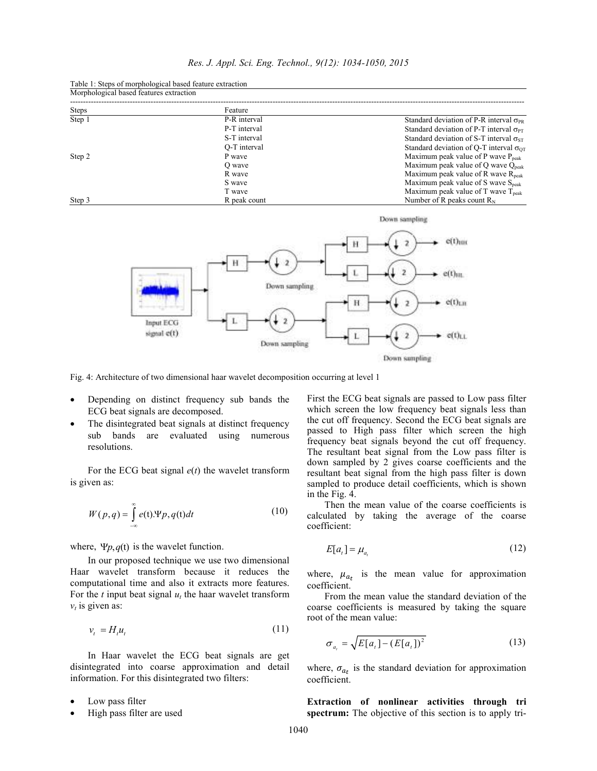| <u>MOI photogreat based reatures extraction</u> |              |                                                         |
|-------------------------------------------------|--------------|---------------------------------------------------------|
| <b>Steps</b>                                    | Feature      |                                                         |
| Step 1                                          | P-R interval | Standard deviation of P-R interval $\sigma_{PR}$        |
|                                                 | P-T interval | Standard deviation of P-T interval $\sigma_{PT}$        |
|                                                 | S-T interval | Standard deviation of S-T interval $\sigma_{ST}$        |
|                                                 | O-T interval | Standard deviation of O-T interval $\sigma_{\text{OT}}$ |
| Step 2                                          | P wave       | Maximum peak value of P wave $P_{\text{peak}}$          |
|                                                 | O wave       | Maximum peak value of Q wave $Q_{\text{peak}}$          |
|                                                 | R wave       | Maximum peak value of R wave $R_{peak}$                 |
|                                                 | S wave       | Maximum peak value of S wave $S_{\text{peak}}$          |
|                                                 | T wave       | Maximum peak value of T wave $T_{\text{peak}}$          |
| Step 3                                          | R peak count | Number of R peaks count $R_N$                           |

Table 1: Steps of morphological based feature extraction  $M_1$  morphological based features  $\mathcal{L}_{\mathcal{A}}$ 



Fig. 4: Architecture of two dimensional haar wavelet decomposition occurring at level 1

- Depending on distinct frequency sub bands the ECG beat signals are decomposed.
- The disintegrated beat signals at distinct frequency sub bands are evaluated using numerous resolutions.

For the ECG beat signal  $e(t)$  the wavelet transform is given as:

$$
W(p,q) = \int_{-\infty}^{\infty} e(t) \Psi p, q(t) dt
$$
 (10)

where,  $\Psi p, q(t)$  is the wavelet function.

In our proposed technique we use two dimensional Haar wavelet transform because it reduces the computational time and also it extracts more features. For the  $t$  input beat signal  $u_t$  the haar wavelet transform  $v_t$  is given as:

$$
v_t = H_t u_t \tag{11}
$$

In Haar wavelet the ECG beat signals are get disintegrated into coarse approximation and detail information. For this disintegrated two filters:

- Low pass filter
- High pass filter are used

First the ECG beat signals are passed to Low pass filter which screen the low frequency beat signals less than the cut off frequency. Second the ECG beat signals are passed to High pass filter which screen the high frequency beat signals beyond the cut off frequency. The resultant beat signal from the Low pass filter is down sampled by 2 gives coarse coefficients and the resultant beat signal from the high pass filter is down sampled to produce detail coefficients, which is shown in the Fig. 4.

Then the mean value of the coarse coefficients is calculated by taking the average of the coarse coefficient:

$$
E[a_t] = \mu_{a_t} \tag{12}
$$

where,  $\mu_{a_t}$  is the mean value for approximation coefficient.

From the mean value the standard deviation of the coarse coefficients is measured by taking the square root of the mean value:

$$
\sigma_{a_t} = \sqrt{E[a_t] - (E[a_t])^2}
$$
 (13)

where,  $\sigma_{a_t}$  is the standard deviation for approximation coefficient.

**Extraction of nonlinear activities through tri spectrum:** The objective of this section is to apply tri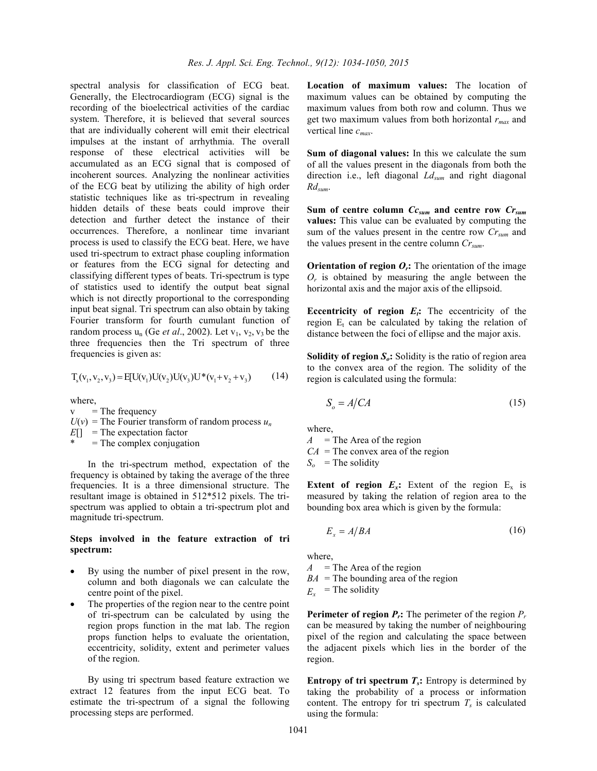spectral analysis for classification of ECG beat. Generally, the Electrocardiogram (ECG) signal is the recording of the bioelectrical activities of the cardiac system. Therefore, it is believed that several sources that are individually coherent will emit their electrical impulses at the instant of arrhythmia. The overall response of these electrical activities will be accumulated as an ECG signal that is composed of incoherent sources. Analyzing the nonlinear activities of the ECG beat by utilizing the ability of high order statistic techniques like as tri-spectrum in revealing hidden details of these beats could improve their detection and further detect the instance of their occurrences. Therefore, a nonlinear time invariant process is used to classify the ECG beat. Here, we have used tri-spectrum to extract phase coupling information or features from the ECG signal for detecting and classifying different types of beats. Tri-spectrum is type of statistics used to identify the output beat signal which is not directly proportional to the corresponding input beat signal. Tri spectrum can also obtain by taking Fourier transform for fourth cumulant function of random process  $u_n$  (Ge *et al.*, 2002). Let  $v_1$ ,  $v_2$ ,  $v_3$  be the three frequencies then the Tri spectrum of three frequencies is given as:

$$
T_s(v_1, v_2, v_3) = E[U(v_1)U(v_2)U(v_3)U^*(v_1 + v_2 + v_3)
$$
 (14)

where,

 $v =$ The frequency

 $U(v)$  = The Fourier transform of random process  $u_n$ 

*E*[] = The expectation factor

 $=$  The complex conjugation

In the tri-spectrum method, expectation of the frequency is obtained by taking the average of the three frequencies. It is a three dimensional structure. The resultant image is obtained in 512\*512 pixels. The trispectrum was applied to obtain a tri-spectrum plot and magnitude tri-spectrum.

#### **Steps involved in the feature extraction of tri spectrum:**

- By using the number of pixel present in the row, column and both diagonals we can calculate the centre point of the pixel.
- The properties of the region near to the centre point of tri-spectrum can be calculated by using the region props function in the mat lab. The region props function helps to evaluate the orientation, eccentricity, solidity, extent and perimeter values of the region.

By using tri spectrum based feature extraction we extract 12 features from the input ECG beat. To estimate the tri-spectrum of a signal the following processing steps are performed.

**Location of maximum values:** The location of maximum values can be obtained by computing the maximum values from both row and column. Thus we get two maximum values from both horizontal *rmax* and vertical line *cmax*.

**Sum of diagonal values:** In this we calculate the sum of all the values present in the diagonals from both the direction i.e., left diagonal *Ldsum* and right diagonal *Rdsum*.

**Sum of centre column** *Ccsum* **and centre row** *Crsum* **values:** This value can be evaluated by computing the sum of the values present in the centre row *Crsum* and the values present in the centre column *Crsum*.

**Orientation of region**  $O_r$ **: The orientation of the image**  $O_r$  is obtained by measuring the angle between the horizontal axis and the major axis of the ellipsoid.

**Eccentricity of region**  $E_t$ **: The eccentricity of the** region  $E_t$  can be calculated by taking the relation of distance between the foci of ellipse and the major axis.

**Solidity of region** *So***:** Solidity is the ratio of region area to the convex area of the region. The solidity of the region is calculated using the formula:

$$
S_o = A / CA \tag{15}
$$

where,

 $A =$ The Area of the region

 $CA =$ The convex area of the region

 $S$ <sup>*o*</sup> = The solidity

**Extent of region**  $E_x$ **:** Extent of the region  $E_x$  is measured by taking the relation of region area to the bounding box area which is given by the formula:

$$
E_x = A/BA \tag{16}
$$

where,

 $A =$ The Area of the region

 $BA =$ The bounding area of the region

 $E_x$  = The solidity

**Perimeter of region**  $P_r$ **:** The perimeter of the region  $P_r$ can be measured by taking the number of neighbouring pixel of the region and calculating the space between the adjacent pixels which lies in the border of the region.

**Entropy of tri spectrum**  $T_s$ **: Entropy is determined by** taking the probability of a process or information content. The entropy for tri spectrum  $T<sub>s</sub>$  is calculated using the formula: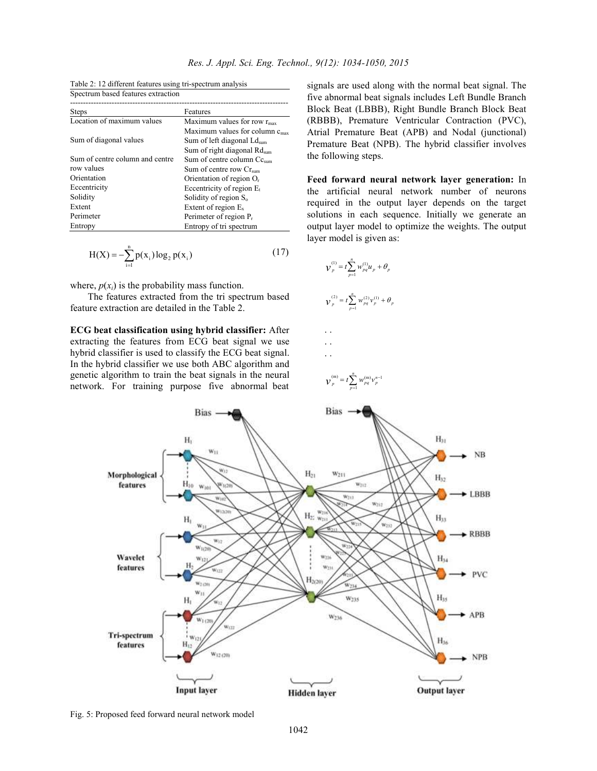| Spectrum based reatures extraction |                                                   |
|------------------------------------|---------------------------------------------------|
| <b>Steps</b>                       | Features                                          |
| Location of maximum values         | Maximum values for row $r_{\rm max}$              |
|                                    | Maximum values for column $c_{\text{max}}$        |
| Sum of diagonal values             | Sum of left diagonal Ld <sub>sum</sub>            |
|                                    | Sum of right diagonal $\text{Rd}_{\text{sum}}$    |
| Sum of centre column and centre    | Sum of centre column $\mathrm{Cc}_{\mathrm{sum}}$ |
| row values                         | Sum of centre row $Cr_{sum}$                      |
| Orientation                        | Orientation of region $O_r$                       |
| Eccentricity                       | Eccentricity of region $E_t$                      |
| Solidity                           | Solidity of region S <sub>o</sub>                 |
| Extent                             | Extent of region $E_x$                            |
| Perimeter                          | Perimeter of region $P_r$                         |
| Entropy                            | Entropy of tri spectrum                           |

Table 2: 12 different features using tri-spectrum analysis Spectrum based features extraction

$$
H(X) = -\sum_{i=1}^{n} p(x_i) \log_2 p(x_i)
$$
 (17)

where,  $p(x_i)$  is the probability mass function.

The features extracted from the tri spectrum based feature extraction are detailed in the Table 2.

**ECG beat classification using hybrid classifier:** After extracting the features from ECG beat signal we use hybrid classifier is used to classify the ECG beat signal. In the hybrid classifier we use both ABC algorithm and genetic algorithm to train the beat signals in the neural network. For training purpose five abnormal beat

signals are used along with the normal beat signal. The five abnormal beat signals includes Left Bundle Branch Block Beat (LBBB), Right Bundle Branch Block Beat (RBBB), Premature Ventricular Contraction (PVC), Atrial Premature Beat (APB) and Nodal (junctional) Premature Beat (NPB). The hybrid classifier involves the following steps.

**Feed forward neural network layer generation:** In the artificial neural network number of neurons required in the output layer depends on the target solutions in each sequence. Initially we generate an output layer model to optimize the weights. The output layer model is given as:

$$
\boldsymbol{V}_{p}^{(1)} = t \sum_{p=1}^{n} w_{pq}^{(1)} \boldsymbol{u}_{p} + \boldsymbol{\theta}_{p}
$$

$$
\boldsymbol{V}_p^{(2)} = t \sum_{p=1}^n w_{pq}^{(2)} v_p^{(1)} + \theta_p
$$

. . 
$$
\mathcal{V}_p^{(m)} = t \sum_{m}^{n} W_{pq}^{(m)} v_p^{n-1}
$$

*p*

1

=

. . . .



Fig. 5: Proposed feed forward neural network model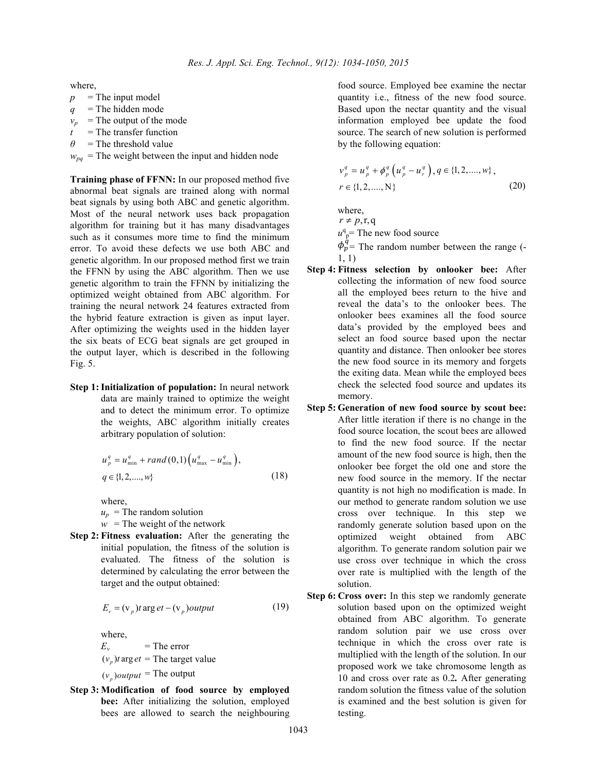where,

- $p =$ The input model  $q =$ The hidden mode  $v_p$  = The output of the mode
- *t* = The transfer function
- $\theta$  = The threshold value
- $w_{pa}$  = The weight between the input and hidden node

**Training phase of FFNN:** In our proposed method five abnormal beat signals are trained along with normal beat signals by using both ABC and genetic algorithm. Most of the neural network uses back propagation algorithm for training but it has many disadvantages such as it consumes more time to find the minimum error. To avoid these defects we use both ABC and genetic algorithm. In our proposed method first we train the FFNN by using the ABC algorithm. Then we use genetic algorithm to train the FFNN by initializing the optimized weight obtained from ABC algorithm. For training the neural network 24 features extracted from the hybrid feature extraction is given as input layer. After optimizing the weights used in the hidden layer the six beats of ECG beat signals are get grouped in the output layer, which is described in the following Fig. 5.

**Step 1: Initialization of population:** In neural network data are mainly trained to optimize the weight and to detect the minimum error. To optimize the weights, ABC algorithm initially creates arbitrary population of solution:

$$
u_p^q = u_{\min}^q + rand(0,1) (u_{\max}^q - u_{\min}^q),
$$
  
 
$$
q \in \{1, 2, ..., w\}
$$
 (18)

where,

 $u_p$  = The random solution

- $w =$ The weight of the network
- **Step 2: Fitness evaluation:** After the generating the initial population, the fitness of the solution is evaluated. The fitness of the solution is determined by calculating the error between the target and the output obtained:

$$
E_v = (v_p)t \arg et - (v_p) output \tag{19}
$$

where,  $E_v$ = The error

 $(v_p)$ *t* arg *et* = The target value  $(v_p)$ *output* = The output

**Step 3: Modification of food source by employed bee:** After initializing the solution, employed bees are allowed to search the neighbouring food source. Employed bee examine the nectar quantity i.e., fitness of the new food source. Based upon the nectar quantity and the visual information employed bee update the food source. The search of new solution is performed by the following equation:

$$
\begin{aligned} v_p^q &= u_p^q + \phi_p^q \left( u_p^q - u_r^q \right), q \in \{1, 2, \dots, w\}, \\ r & \in \{1, 2, \dots, N\} \end{aligned} \tag{20}
$$

where,  $r \neq p, r, q$  $u^q$ <sup> $p$ </sup> The new food source  $\phi_p^{\dot{q}}$  = The random number between the range (-1, 1)

- **Step 4: Fitness selection by onlooker bee:** After collecting the information of new food source all the employed bees return to the hive and reveal the data's to the onlooker bees. The onlooker bees examines all the food source data's provided by the employed bees and select an food source based upon the nectar quantity and distance. Then onlooker bee stores the new food source in its memory and forgets the exiting data. Mean while the employed bees check the selected food source and updates its memory.
- **Step 5: Generation of new food source by scout bee:** After little iteration if there is no change in the food source location, the scout bees are allowed to find the new food source. If the nectar amount of the new food source is high, then the onlooker bee forget the old one and store the new food source in the memory. If the nectar quantity is not high no modification is made. In our method to generate random solution we use cross over technique. In this step we randomly generate solution based upon on the optimized weight obtained from ABC algorithm. To generate random solution pair we use cross over technique in which the cross over rate is multiplied with the length of the solution.
- **Step 6: Cross over:** In this step we randomly generate solution based upon on the optimized weight obtained from ABC algorithm. To generate random solution pair we use cross over technique in which the cross over rate is multiplied with the length of the solution. In our proposed work we take chromosome length as 10 and cross over rate as 0.2*.* After generating random solution the fitness value of the solution is examined and the best solution is given for testing.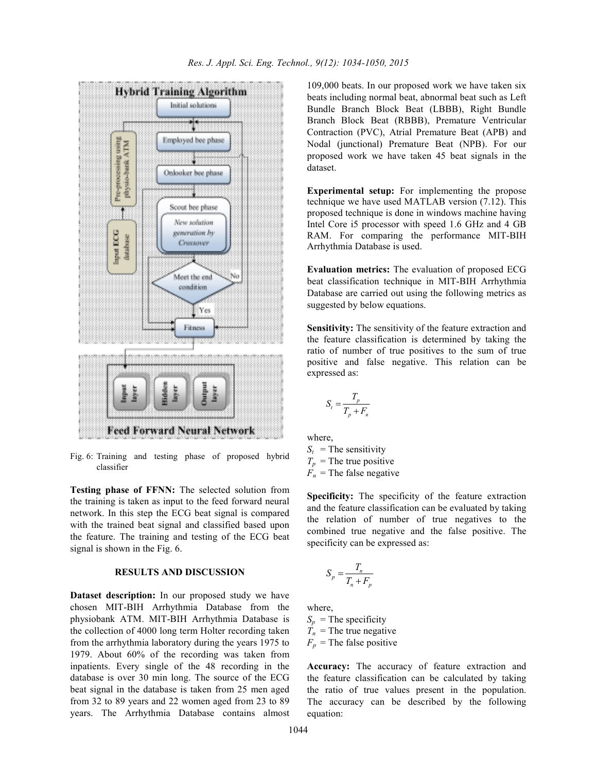

Fig. 6: Training and testing phase of proposed hybrid classifier

**Testing phase of FFNN:** The selected solution from the training is taken as input to the feed forward neural network. In this step the ECG beat signal is compared with the trained beat signal and classified based upon the feature. The training and testing of the ECG beat signal is shown in the Fig. 6.

## **RESULTS AND DISCUSSION**

**Dataset description:** In our proposed study we have chosen MIT-BIH Arrhythmia Database from the physiobank ATM. MIT-BIH Arrhythmia Database is the collection of 4000 long term Holter recording taken from the arrhythmia laboratory during the years 1975 to 1979. About 60% of the recording was taken from inpatients. Every single of the 48 recording in the database is over 30 min long. The source of the ECG beat signal in the database is taken from 25 men aged from 32 to 89 years and 22 women aged from 23 to 89 years. The Arrhythmia Database contains almost

109,000 beats. In our proposed work we have taken six beats including normal beat, abnormal beat such as Left Bundle Branch Block Beat (LBBB), Right Bundle Branch Block Beat (RBBB), Premature Ventricular Contraction (PVC), Atrial Premature Beat (APB) and Nodal (junctional) Premature Beat (NPB). For our proposed work we have taken 45 beat signals in the dataset.

**Experimental setup:** For implementing the propose technique we have used MATLAB version (7.12). This proposed technique is done in windows machine having Intel Core i5 processor with speed 1.6 GHz and 4 GB RAM. For comparing the performance MIT-BIH Arrhythmia Database is used.

**Evaluation metrics:** The evaluation of proposed ECG beat classification technique in MIT-BIH Arrhythmia Database are carried out using the following metrics as suggested by below equations.

**Sensitivity:** The sensitivity of the feature extraction and the feature classification is determined by taking the ratio of number of true positives to the sum of true positive and false negative. This relation can be expressed as:

$$
S_t = \frac{T_p}{T_p + F_n}
$$

where,  $S_t$  = The sensitivity  $T_p$  = The true positive  $F_n$  = The false negative

**Specificity:** The specificity of the feature extraction and the feature classification can be evaluated by taking the relation of number of true negatives to the combined true negative and the false positive. The specificity can be expressed as:

$$
S_p = \frac{T_n}{T_n + F_p}
$$

where,

 $S_p$  = The specificity  $\hat{T}_n$  = The true negative  $F_p$  = The false positive

**Accuracy:** The accuracy of feature extraction and the feature classification can be calculated by taking the ratio of true values present in the population. The accuracy can be described by the following equation: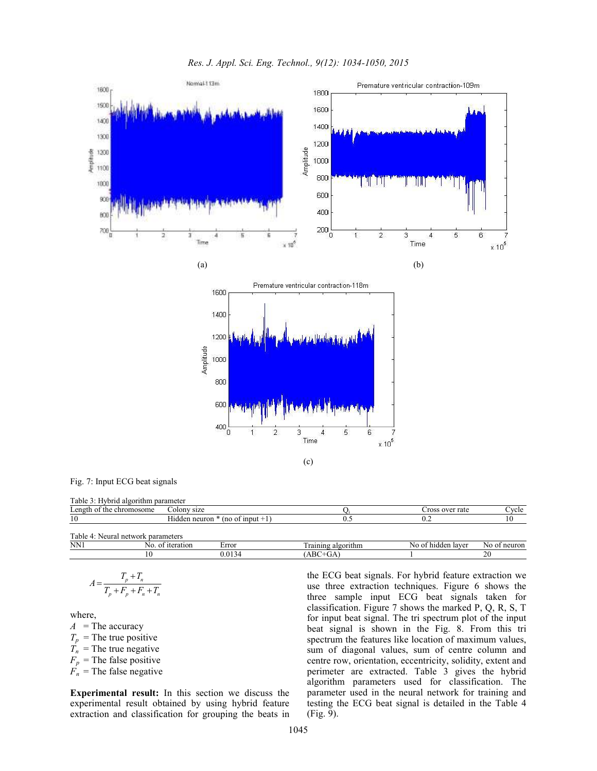

Fig. 7: Input ECG beat signals

| Table<br>-ivbrid<br>algorithm | parameter                           |     |                             |       |
|-------------------------------|-------------------------------------|-----|-----------------------------|-------|
| $L$ ength<br>the chromosome   | $\sim$ 010nv<br>size                |     | s over rate<br>TOSS         | `vcle |
| 1 U                           | -lıdden neuron<br>input<br>$(no$ of | ∪.J | $\mathsf{v}$ . $\mathsf{v}$ | 1 V   |
|                               |                                     |     |                             |       |

| $\sim$<br>l able<br>Neura | l network parameters  |                                  |                                                        |                         |              |
|---------------------------|-----------------------|----------------------------------|--------------------------------------------------------|-------------------------|--------------|
| NN1                       | iteration<br>nt<br>NΩ | Error                            | <b>CONTINUES</b><br>raining<br>' algorithm<br>. тапппе | ംo of hidder -<br>laver | Nc<br>neuron |
|                           |                       | $\sim$<br>13 <sup>0</sup><br>J.U | $\Omega$<br>UA<br>ABU                                  |                         | ∠            |
|                           |                       |                                  |                                                        |                         |              |

$$
A = \frac{T_p + T_n}{T_p + F_p + F_n + T_n}
$$

where,

 $A =$ The accuracy

 $T_p$  = The true positive

 $\overline{T}_n$  = The true negative

 $F_p$  = The false positive

 $F_n$  = The false negative

**Experimental result:** In this section we discuss the experimental result obtained by using hybrid feature extraction and classification for grouping the beats in the ECG beat signals. For hybrid feature extraction we use three extraction techniques. Figure 6 shows the three sample input ECG beat signals taken for classification. Figure 7 shows the marked P, Q, R, S, T for input beat signal. The tri spectrum plot of the input beat signal is shown in the Fig. 8. From this tri spectrum the features like location of maximum values, sum of diagonal values, sum of centre column and centre row, orientation, eccentricity, solidity, extent and perimeter are extracted. Table 3 gives the hybrid algorithm parameters used for classification. The parameter used in the neural network for training and testing the ECG beat signal is detailed in the Table 4 (Fig. 9).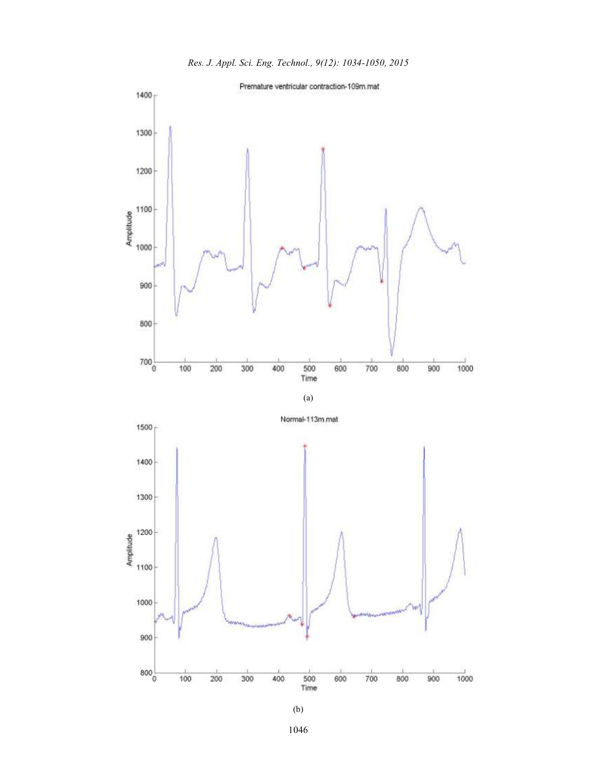





800



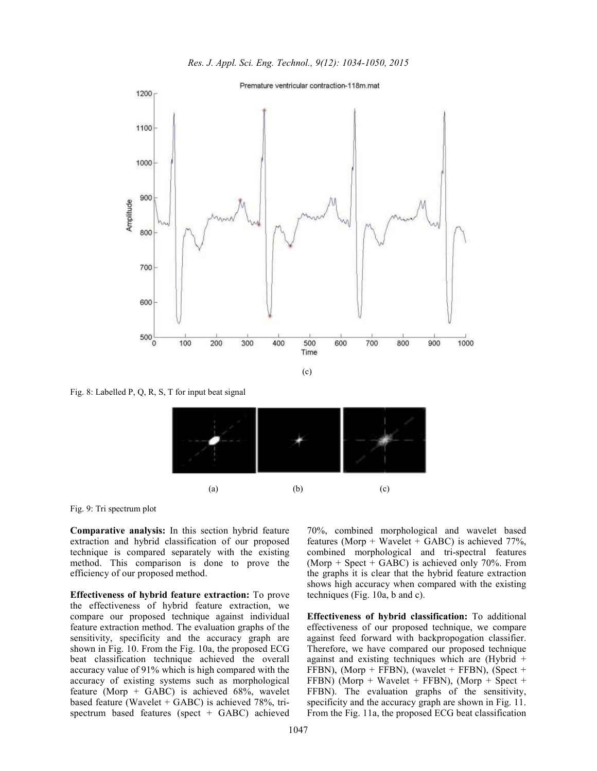



Fig. 8: Labelled P, Q, R, S, T for input beat signal



Fig. 9: Tri spectrum plot

**Comparative analysis:** In this section hybrid feature extraction and hybrid classification of our proposed technique is compared separately with the existing method. This comparison is done to prove the efficiency of our proposed method.

**Effectiveness of hybrid feature extraction:** To prove the effectiveness of hybrid feature extraction, we compare our proposed technique against individual feature extraction method. The evaluation graphs of the sensitivity, specificity and the accuracy graph are shown in Fig. 10. From the Fig. 10a, the proposed ECG beat classification technique achieved the overall accuracy value of 91% which is high compared with the accuracy of existing systems such as morphological feature (Morp + GABC) is achieved 68%, wavelet based feature (Wavelet + GABC) is achieved 78%, trispectrum based features (spect + GABC) achieved 70%, combined morphological and wavelet based features (Morp + Wavelet + GABC) is achieved 77%, combined morphological and tri-spectral features (Morp + Spect + GABC) is achieved only 70%. From the graphs it is clear that the hybrid feature extraction shows high accuracy when compared with the existing techniques (Fig. 10a, b and c).

**Effectiveness of hybrid classification:** To additional effectiveness of our proposed technique, we compare against feed forward with backpropogation classifier. Therefore, we have compared our proposed technique against and existing techniques which are (Hybrid + FFBN), (Morp + FFBN), (wavelet + FFBN), (Spect + FFBN) (Morp + Wavelet + FFBN), (Morp + Spect + FFBN). The evaluation graphs of the sensitivity, specificity and the accuracy graph are shown in Fig. 11. From the Fig. 11a, the proposed ECG beat classification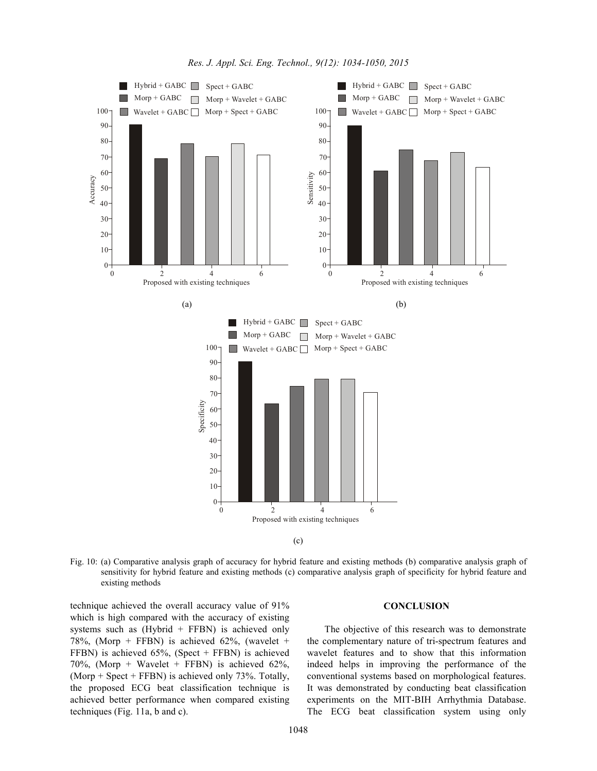

Fig. 10: (a) Comparative analysis graph of accuracy for hybrid feature and existing methods (b) comparative analysis graph of sensitivity for hybrid feature and existing methods (c) comparative analysis graph of specificity for hybrid feature and existing methods

technique achieved the overall accuracy value of 91% which is high compared with the accuracy of existing systems such as  $(Hvbrid + FFBN)$  is achieved only 78%, (Morp + FFBN) is achieved 62%, (wavelet + FFBN) is achieved 65%, (Spect + FFBN) is achieved 70%, (Morp + Wavelet + FFBN) is achieved  $62\%$ , (Morp + Spect + FFBN) is achieved only 73%. Totally, the proposed ECG beat classification technique is achieved better performance when compared existing techniques (Fig. 11a, b and c).

## **CONCLUSION**

The objective of this research was to demonstrate the complementary nature of tri-spectrum features and wavelet features and to show that this information indeed helps in improving the performance of the conventional systems based on morphological features. It was demonstrated by conducting beat classification experiments on the MIT-BIH Arrhythmia Database. The ECG beat classification system using only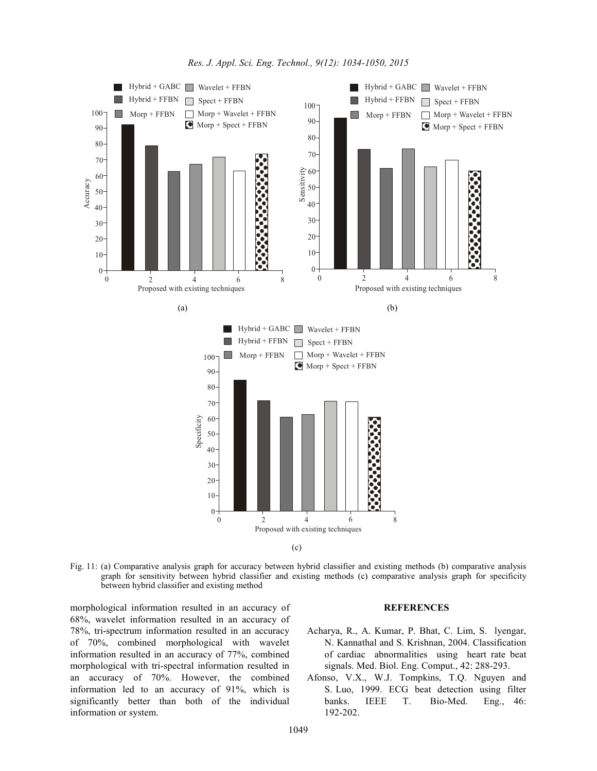

Fig. 11: (a) Comparative analysis graph for accuracy between hybrid classifier and existing methods (b) comparative analysis graph for sensitivity between hybrid classifier and existing methods (c) comparative analysis graph for specificity between hybrid classifier and existing method

morphological information resulted in an accuracy of 68%, wavelet information resulted in an accuracy of 78%, tri-spectrum information resulted in an accuracy of 70%, combined morphological with wavelet information resulted in an accuracy of 77%, combined morphological with tri-spectral information resulted in an accuracy of 70%. However, the combined information led to an accuracy of 91%, which is significantly better than both of the individual information or system.

#### **REFERENCES**

- Acharya, R., A. Kumar, P. Bhat, C. Lim, S. lyengar, N. Kannathal and S. Krishnan, 2004. Classification of cardiac abnormalities using heart rate beat signals. Med. Biol. Eng. Comput., 42: 288-293.
- Afonso, V.X., W.J. Tompkins, T.Q. Nguyen and S. Luo, 1999. ECG beat detection using filter banks. IEEE T. Bio-Med. Eng., 46: 192-202.